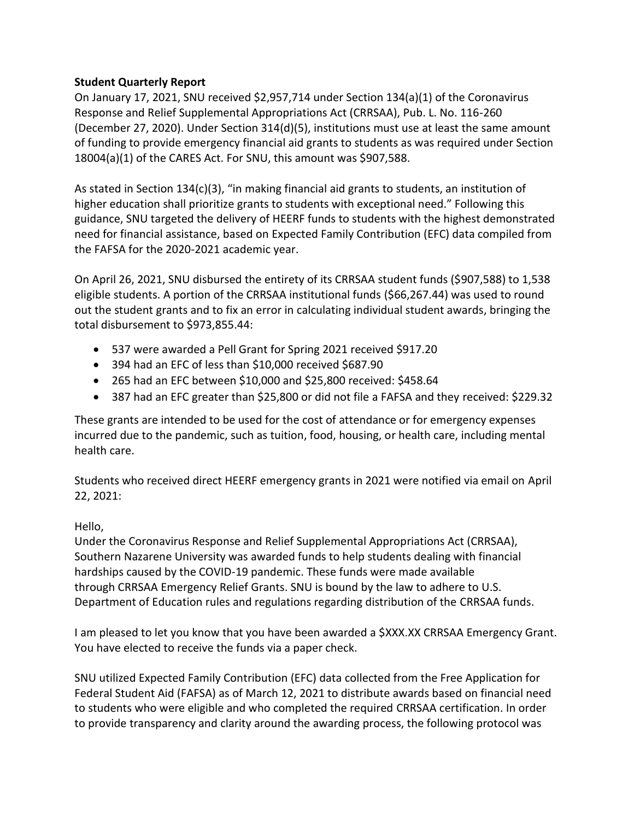## **Student Quarterly Report**

On January 17, 2021, SNU received \$2,957,714 under Section 134(a)(1) of the Coronavirus Response and Relief Supplemental Appropriations Act (CRRSAA), Pub. L. No. 116-260 (December 27, 2020). Under Section 314(d)(5), institutions must use at least the same amount of funding to provide emergency financial aid grants to students as was required under Section 18004(a)(1) of the CARES Act. For SNU, this amount was \$907,588.

As stated in Section 134(c)(3), "in making financial aid grants to students, an institution of higher education shall prioritize grants to students with exceptional need." Following this guidance, SNU targeted the delivery of HEERF funds to students with the highest demonstrated need for financial assistance, based on Expected Family Contribution (EFC) data compiled from the FAFSA for the 2020-2021 academic year.

On April 26, 2021, SNU disbursed the entirety of its CRRSAA student funds (\$907,588) to 1,538 eligible students. A portion of the CRRSAA institutional funds (\$66,267.44) was used to round out the student grants and to fix an error in calculating individual student awards, bringing the total disbursement to \$973,855.44:

- 537 were awarded a Pell Grant for Spring 2021 received \$917.20
- 394 had an EFC of less than \$10,000 received \$687.90
- 265 had an EFC between \$10,000 and \$25,800 received: \$458.64
- 387 had an EFC greater than \$25,800 or did not file a FAFSA and they received: \$229.32

These grants are intended to be used for the cost of attendance or for emergency expenses incurred due to the pandemic, such as tuition, food, housing, or health care, including mental health care.

Students who received direct HEERF emergency grants in 2021 were notified via email on April 22, 2021:

## Hello,

Under the Coronavirus Response and Relief Supplemental Appropriations Act (CRRSAA), Southern Nazarene University was awarded funds to help students dealing with financial hardships caused by the COVID-19 pandemic. These funds were made available through CRRSAA Emergency Relief Grants. SNU is bound by the law to adhere to U.S. Department of Education rules and regulations regarding distribution of the CRRSAA funds.

I am pleased to let you know that you have been awarded a \$XXX.XX CRRSAA Emergency Grant. You have elected to receive the funds via a paper check.

SNU utilized Expected Family Contribution (EFC) data collected from the Free Application for Federal Student Aid (FAFSA) as of March 12, 2021 to distribute awards based on financial need to students who were eligible and who completed the required CRRSAA certification. In order to provide transparency and clarity around the awarding process, the following protocol was